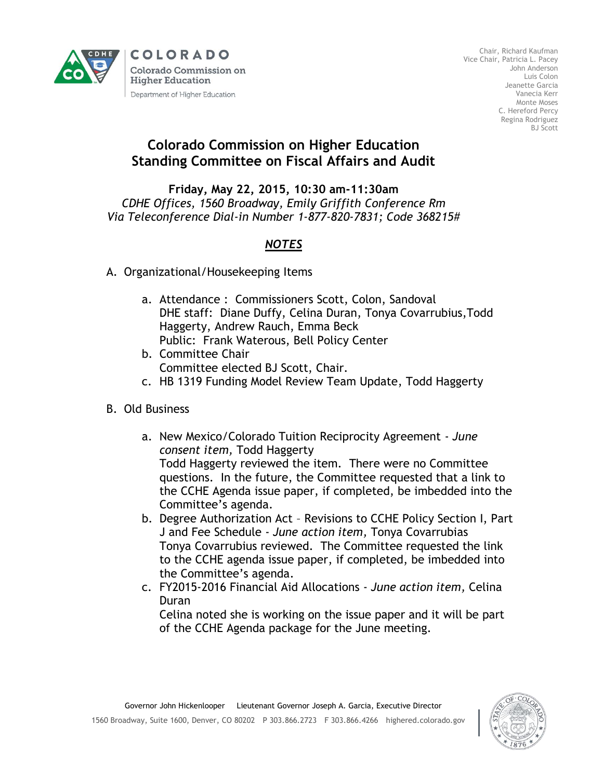

**COLORADO Colorado Commission on Higher Education** Department of Higher Education

Chair, Richard Kaufman Vice Chair, Patricia L. Pacey John Anderson Luis Colon Jeanette Garcia Vanecia Kerr Monte Moses C. Hereford Percy Regina Rodriguez BJ Scott

## **Colorado Commission on Higher Education Standing Committee on Fiscal Affairs and Audit**

## **Friday, May 22, 2015, 10:30 am-11:30am** *CDHE Offices, 1560 Broadway, Emily Griffith Conference Rm Via Teleconference Dial-in Number 1-877-820-7831; Code 368215#*

## *NOTES*

- A. Organizational/Housekeeping Items
	- a. Attendance : Commissioners Scott, Colon, Sandoval DHE staff: Diane Duffy, Celina Duran, Tonya Covarrubius,Todd Haggerty, Andrew Rauch, Emma Beck Public: Frank Waterous, Bell Policy Center
	- b. Committee Chair Committee elected BJ Scott, Chair.
	- c. HB 1319 Funding Model Review Team Update, Todd Haggerty
- B. Old Business
	- a. New Mexico/Colorado Tuition Reciprocity Agreement *June consent item,* Todd Haggerty Todd Haggerty reviewed the item. There were no Committee questions. In the future, the Committee requested that a link to the CCHE Agenda issue paper, if completed, be imbedded into the Committee's agenda.
	- b. Degree Authorization Act Revisions to CCHE Policy Section I, Part J and Fee Schedule - *June action item,* Tonya Covarrubias Tonya Covarrubius reviewed. The Committee requested the link to the CCHE agenda issue paper, if completed, be imbedded into the Committee's agenda.
	- c. FY2015-2016 Financial Aid Allocations *June action item,* Celina Duran

Celina noted she is working on the issue paper and it will be part of the CCHE Agenda package for the June meeting.